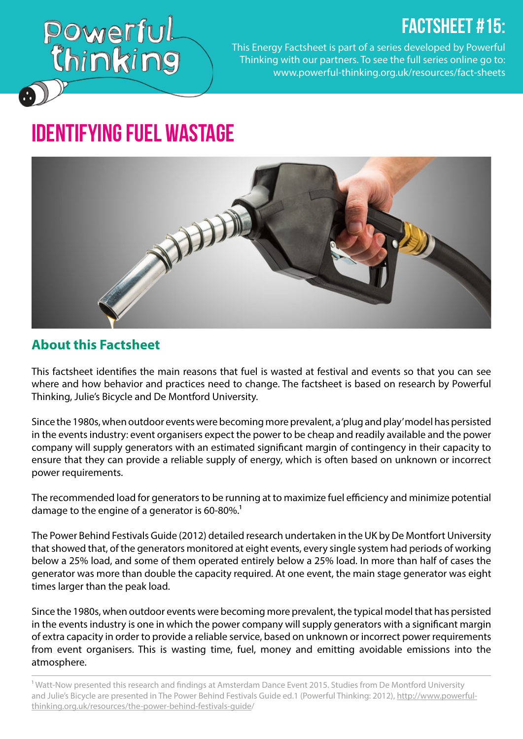## FACTSHEET #15:

Powerful<br>Chinking

This Energy Factsheet is part of a series developed by Powerful Thinking with our partners. To see the full series online go to: www.[powerful-thinking.org.uk/resources/fact-sheets](http://powerful-thinking.org.uk/resources/fact-sheets)

# Identifying Fuel Wastage



#### **About this Factsheet**

This factsheet identifies the main reasons that fuel is wasted at festival and events so that you can see where and how behavior and practices need to change. The factsheet is based on research by Powerful Thinking, Julie's Bicycle and De Montford University.

Since the 1980s, when outdoor events were becoming more prevalent, a 'plug and play' model has persisted in the events industry: event organisers expect the power to be cheap and readily available and the power company will supply generators with an estimated significant margin of contingency in their capacity to ensure that they can provide a reliable supply of energy, which is often based on unknown or incorrect power requirements.

The recommended load for generators to be running at to maximize fuel efficiency and minimize potential damage to the engine of a generator is 60-80%.<sup>1</sup>

The Power Behind Festivals Guide (2012) detailed research undertaken in the UK by De Montfort University that showed that, of the generators monitored at eight events, every single system had periods of working below a 25% load, and some of them operated entirely below a 25% load. In more than half of cases the generator was more than double the capacity required. At one event, the main stage generator was eight times larger than the peak load.

Since the 1980s, when outdoor events were becoming more prevalent, the typical model that has persisted in the events industry is one in which the power company will supply generators with a significant margin of extra capacity in order to provide a reliable service, based on unknown or incorrect power requirements from event organisers. This is wasting time, fuel, money and emitting avoidable emissions into the atmosphere.

<sup>1</sup> Watt-Now presented this research and findings at Amsterdam Dance Event 2015. Studies from De Montford University and Julie's Bicycle are presented in The Power Behind Festivals Guide ed.1 (Powerful Thinking: 2012), http://www.powerfulthinking.org.uk/resources/the-power-behind-festivals-guide/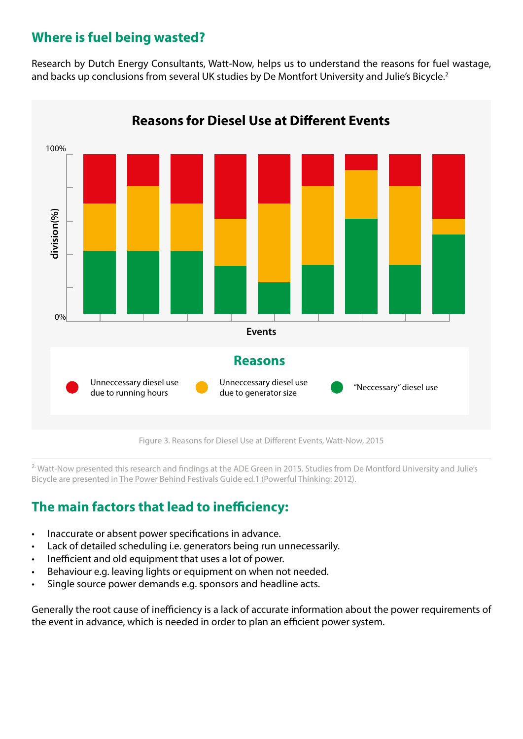#### **Where is fuel being wasted?**

Research by Dutch Energy Consultants, Watt-Now, helps us to understand the reasons for fuel wastage, and backs up conclusions from several UK studies by De Montfort University and Julie's Bicycle.<sup>2</sup>



Figure 3. Reasons for Diesel Use at Different Events, Watt-Now, 2015

<sup>2.</sup> Watt-Now presented this research and findings at the ADE Green in 2015. Studies from De Montford University and Julie's Bicycle are presented in [The Power Behind Festivals Guide ed.1 \(Powerful Thinking: 2012\).](http://www.powerful-thinking.org.uk/resources/the-power-behind-festivals-guide/)

#### **The main factors that lead to inefficiency:**

- Inaccurate or absent power specifications in advance.
- Lack of detailed scheduling i.e. generators being run unnecessarily.
- Inefficient and old equipment that uses a lot of power.
- Behaviour e.g. leaving lights or equipment on when not needed.
- Single source power demands e.g. sponsors and headline acts.

Generally the root cause of inefficiency is a lack of accurate information about the power requirements of the event in advance, which is needed in order to plan an efficient power system.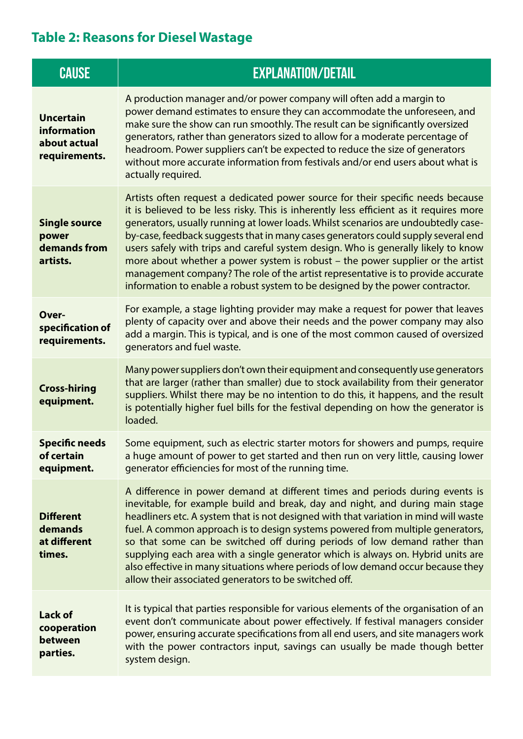### **Table 2: Reasons for Diesel Wastage**

| <b>CAUSE</b>                                                     | <b>EXPLANATION/DETAIL</b>                                                                                                                                                                                                                                                                                                                                                                                                                                                                                                                                                                                                                                                                         |
|------------------------------------------------------------------|---------------------------------------------------------------------------------------------------------------------------------------------------------------------------------------------------------------------------------------------------------------------------------------------------------------------------------------------------------------------------------------------------------------------------------------------------------------------------------------------------------------------------------------------------------------------------------------------------------------------------------------------------------------------------------------------------|
| <b>Uncertain</b><br>information<br>about actual<br>requirements. | A production manager and/or power company will often add a margin to<br>power demand estimates to ensure they can accommodate the unforeseen, and<br>make sure the show can run smoothly. The result can be significantly oversized<br>generators, rather than generators sized to allow for a moderate percentage of<br>headroom. Power suppliers can't be expected to reduce the size of generators<br>without more accurate information from festivals and/or end users about what is<br>actually required.                                                                                                                                                                                    |
| <b>Single source</b><br>power<br>demands from<br>artists.        | Artists often request a dedicated power source for their specific needs because<br>it is believed to be less risky. This is inherently less efficient as it requires more<br>generators, usually running at lower loads. Whilst scenarios are undoubtedly case-<br>by-case, feedback suggests that in many cases generators could supply several end<br>users safely with trips and careful system design. Who is generally likely to know<br>more about whether a power system is robust - the power supplier or the artist<br>management company? The role of the artist representative is to provide accurate<br>information to enable a robust system to be designed by the power contractor. |
| Over-<br>specification of<br>requirements.                       | For example, a stage lighting provider may make a request for power that leaves<br>plenty of capacity over and above their needs and the power company may also<br>add a margin. This is typical, and is one of the most common caused of oversized<br>generators and fuel waste.                                                                                                                                                                                                                                                                                                                                                                                                                 |
| <b>Cross-hiring</b><br>equipment.                                | Many power suppliers don't own their equipment and consequently use generators<br>that are larger (rather than smaller) due to stock availability from their generator<br>suppliers. Whilst there may be no intention to do this, it happens, and the result<br>is potentially higher fuel bills for the festival depending on how the generator is<br>loaded.                                                                                                                                                                                                                                                                                                                                    |
| <b>Specific needs</b><br>of certain<br>equipment.                | Some equipment, such as electric starter motors for showers and pumps, require<br>a huge amount of power to get started and then run on very little, causing lower<br>generator efficiencies for most of the running time.                                                                                                                                                                                                                                                                                                                                                                                                                                                                        |
| <b>Different</b><br>demands<br>at different<br>times.            | A difference in power demand at different times and periods during events is<br>inevitable, for example build and break, day and night, and during main stage<br>headliners etc. A system that is not designed with that variation in mind will waste<br>fuel. A common approach is to design systems powered from multiple generators,<br>so that some can be switched off during periods of low demand rather than<br>supplying each area with a single generator which is always on. Hybrid units are<br>also effective in many situations where periods of low demand occur because they<br>allow their associated generators to be switched off.                                             |
| <b>Lack of</b><br>cooperation<br>between<br>parties.             | It is typical that parties responsible for various elements of the organisation of an<br>event don't communicate about power effectively. If festival managers consider<br>power, ensuring accurate specifications from all end users, and site managers work<br>with the power contractors input, savings can usually be made though better<br>system design.                                                                                                                                                                                                                                                                                                                                    |